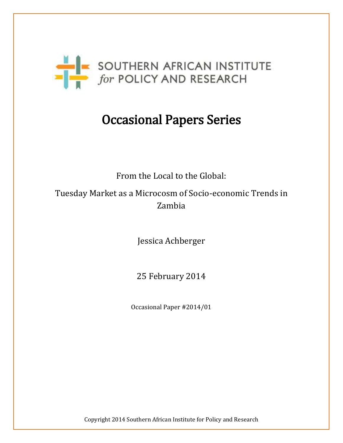

# Occasional Papers Series

From the Local to the Global:

Tuesday Market as a Microcosm of Socio-economic Trends in Zambia

Jessica Achberger

25 February 2014

Occasional Paper #2014/01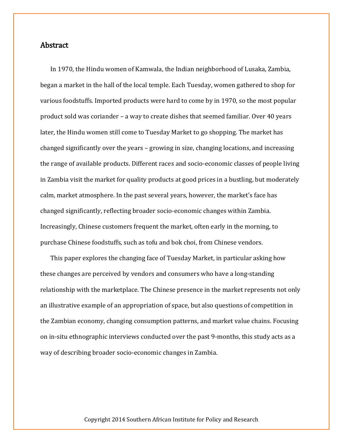### **Abstract**

In 1970, the Hindu women of Kamwala, the Indian neighborhood of Lusaka, Zambia, began a market in the hall of the local temple. Each Tuesday, women gathered to shop for various foodstuffs. Imported products were hard to come by in 1970, so the most popular product sold was coriander – a way to create dishes that seemed familiar. Over 40 years later, the Hindu women still come to Tuesday Market to go shopping. The market has changed significantly over the years – growing in size, changing locations, and increasing the range of available products. Different races and socio-economic classes of people living in Zambia visit the market for quality products at good prices in a bustling, but moderately calm, market atmosphere. In the past several years, however, the market's face has changed significantly, reflecting broader socio-economic changes within Zambia. Increasingly, Chinese customers frequent the market, often early in the morning, to purchase Chinese foodstuffs, such as tofu and bok choi, from Chinese vendors.

This paper explores the changing face of Tuesday Market, in particular asking how these changes are perceived by vendors and consumers who have a long-standing relationship with the marketplace. The Chinese presence in the market represents not only an illustrative example of an appropriation of space, but also questions of competition in the Zambian economy, changing consumption patterns, and market value chains. Focusing on in-situ ethnographic interviews conducted over the past 9-months, this study acts as a way of describing broader socio-economic changes in Zambia.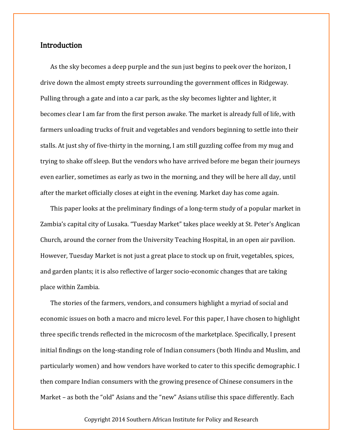# **Introduction**

As the sky becomes a deep purple and the sun just begins to peek over the horizon, I drive down the almost empty streets surrounding the government offices in Ridgeway. Pulling through a gate and into a car park, as the sky becomes lighter and lighter, it becomes clear I am far from the first person awake. The market is already full of life, with farmers unloading trucks of fruit and vegetables and vendors beginning to settle into their stalls. At just shy of five-thirty in the morning, I am still guzzling coffee from my mug and trying to shake off sleep. But the vendors who have arrived before me began their journeys even earlier, sometimes as early as two in the morning, and they will be here all day, until after the market officially closes at eight in the evening. Market day has come again.

This paper looks at the preliminary findings of a long-term study of a popular market in Zambia's capital city of Lusaka. "Tuesday Market" takes place weekly at St. Peter's Anglican Church, around the corner from the University Teaching Hospital, in an open air pavilion. However, Tuesday Market is not just a great place to stock up on fruit, vegetables, spices, and garden plants; it is also reflective of larger socio-economic changes that are taking place within Zambia.

The stories of the farmers, vendors, and consumers highlight a myriad of social and economic issues on both a macro and micro level. For this paper, I have chosen to highlight three specific trends reflected in the microcosm of the marketplace. Specifically, I present initial findings on the long-standing role of Indian consumers (both Hindu and Muslim, and particularly women) and how vendors have worked to cater to this specific demographic. I then compare Indian consumers with the growing presence of Chinese consumers in the Market – as both the "old" Asians and the "new" Asians utilise this space differently. Each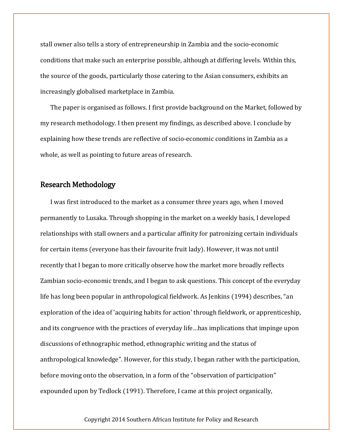stall owner also tells a story of entrepreneurship in Zambia and the socio-economic conditions that make such an enterprise possible, although at differing levels. Within this, the source of the goods, particularly those catering to the Asian consumers, exhibits an increasingly globalised marketplace in Zambia.

The paper is organised as follows. I first provide background on the Market, followed by my research methodology. I then present my findings, as described above. I conclude by explaining how these trends are reflective of socio-economic conditions in Zambia as a whole, as well as pointing to future areas of research.

# Research Methodology

I was first introduced to the market as a consumer three years ago, when I moved permanently to Lusaka. Through shopping in the market on a weekly basis, I developed relationships with stall owners and a particular affinity for patronizing certain individuals for certain items (everyone has their favourite fruit lady). However, it was not until recently that I began to more critically observe how the market more broadly reflects Zambian socio-economic trends, and I began to ask questions. This concept of the everyday life has long been popular in anthropological fieldwork. As Jenkins (1994) describes, "an exploration of the idea of 'acquiring habits for action' through fieldwork, or apprenticeship, and its congruence with the practices of everyday life…has implications that impinge upon discussions of ethnographic method, ethnographic writing and the status of anthropological knowledge". However, for this study, I began rather with the participation, before moving onto the observation, in a form of the "observation of participation" expounded upon by Tedlock (1991). Therefore, I came at this project organically,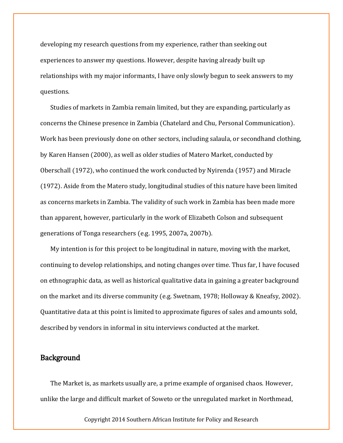developing my research questions from my experience, rather than seeking out experiences to answer my questions. However, despite having already built up relationships with my major informants, I have only slowly begun to seek answers to my questions.

Studies of markets in Zambia remain limited, but they are expanding, particularly as concerns the Chinese presence in Zambia (Chatelard and Chu, Personal Communication). Work has been previously done on other sectors, including salaula, or secondhand clothing, by Karen Hansen (2000), as well as older studies of Matero Market, conducted by Oberschall (1972), who continued the work conducted by Nyirenda (1957) and Miracle (1972). Aside from the Matero study, longitudinal studies of this nature have been limited as concerns markets in Zambia. The validity of such work in Zambia has been made more than apparent, however, particularly in the work of Elizabeth Colson and subsequent generations of Tonga researchers (e.g. 1995, 2007a, 2007b).

My intention is for this project to be longitudinal in nature, moving with the market, continuing to develop relationships, and noting changes over time. Thus far, I have focused on ethnographic data, as well as historical qualitative data in gaining a greater background on the market and its diverse community (e.g. Swetnam, 1978; Holloway & Kneafsy, 2002). Quantitative data at this point is limited to approximate figures of sales and amounts sold, described by vendors in informal in situ interviews conducted at the market.

### **Background**

The Market is, as markets usually are, a prime example of organised chaos. However, unlike the large and difficult market of Soweto or the unregulated market in Northmead,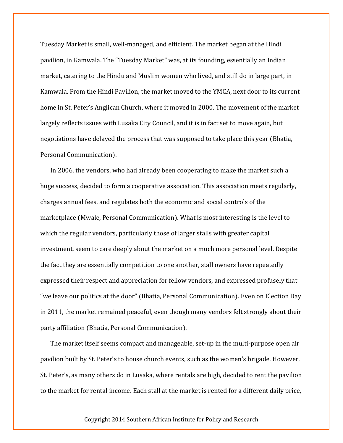Tuesday Market is small, well-managed, and efficient. The market began at the Hindi pavilion, in Kamwala. The "Tuesday Market" was, at its founding, essentially an Indian market, catering to the Hindu and Muslim women who lived, and still do in large part, in Kamwala. From the Hindi Pavilion, the market moved to the YMCA, next door to its current home in St. Peter's Anglican Church, where it moved in 2000. The movement of the market largely reflects issues with Lusaka City Council, and it is in fact set to move again, but negotiations have delayed the process that was supposed to take place this year (Bhatia, Personal Communication).

In 2006, the vendors, who had already been cooperating to make the market such a huge success, decided to form a cooperative association. This association meets regularly, charges annual fees, and regulates both the economic and social controls of the marketplace (Mwale, Personal Communication). What is most interesting is the level to which the regular vendors, particularly those of larger stalls with greater capital investment, seem to care deeply about the market on a much more personal level. Despite the fact they are essentially competition to one another, stall owners have repeatedly expressed their respect and appreciation for fellow vendors, and expressed profusely that "we leave our politics at the door" (Bhatia, Personal Communication). Even on Election Day in 2011, the market remained peaceful, even though many vendors felt strongly about their party affiliation (Bhatia, Personal Communication).

The market itself seems compact and manageable, set-up in the multi-purpose open air pavilion built by St. Peter's to house church events, such as the women's brigade. However, St. Peter's, as many others do in Lusaka, where rentals are high, decided to rent the pavilion to the market for rental income. Each stall at the market is rented for a different daily price,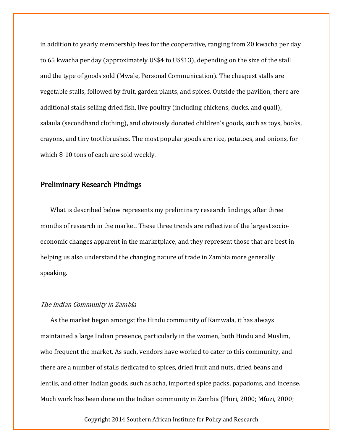in addition to yearly membership fees for the cooperative, ranging from 20 kwacha per day to 65 kwacha per day (approximately US\$4 to US\$13), depending on the size of the stall and the type of goods sold (Mwale, Personal Communication). The cheapest stalls are vegetable stalls, followed by fruit, garden plants, and spices. Outside the pavilion, there are additional stalls selling dried fish, live poultry (including chickens, ducks, and quail), salaula (secondhand clothing), and obviously donated children's goods, such as toys, books, crayons, and tiny toothbrushes. The most popular goods are rice, potatoes, and onions, for which 8-10 tons of each are sold weekly.

# Preliminary Research Findings

What is described below represents my preliminary research findings, after three months of research in the market. These three trends are reflective of the largest socioeconomic changes apparent in the marketplace, and they represent those that are best in helping us also understand the changing nature of trade in Zambia more generally speaking.

#### The Indian Community in Zambia

As the market began amongst the Hindu community of Kamwala, it has always maintained a large Indian presence, particularly in the women, both Hindu and Muslim, who frequent the market. As such, vendors have worked to cater to this community, and there are a number of stalls dedicated to spices, dried fruit and nuts, dried beans and lentils, and other Indian goods, such as acha, imported spice packs, papadoms, and incense. Much work has been done on the Indian community in Zambia (Phiri, 2000; Mfuzi, 2000;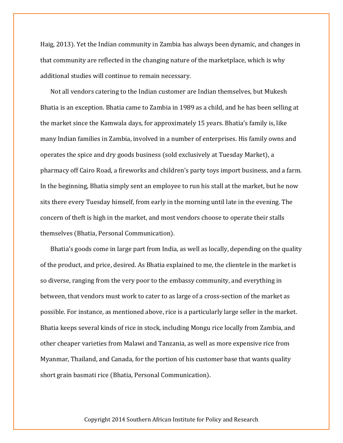Haig, 2013). Yet the Indian community in Zambia has always been dynamic, and changes in that community are reflected in the changing nature of the marketplace, which is why additional studies will continue to remain necessary.

Not all vendors catering to the Indian customer are Indian themselves, but Mukesh Bhatia is an exception. Bhatia came to Zambia in 1989 as a child, and he has been selling at the market since the Kamwala days, for approximately 15 years. Bhatia's family is, like many Indian families in Zambia, involved in a number of enterprises. His family owns and operates the spice and dry goods business (sold exclusively at Tuesday Market), a pharmacy off Cairo Road, a fireworks and children's party toys import business, and a farm. In the beginning, Bhatia simply sent an employee to run his stall at the market, but he now sits there every Tuesday himself, from early in the morning until late in the evening. The concern of theft is high in the market, and most vendors choose to operate their stalls themselves (Bhatia, Personal Communication).

Bhatia's goods come in large part from India, as well as locally, depending on the quality of the product, and price, desired. As Bhatia explained to me, the clientele in the market is so diverse, ranging from the very poor to the embassy community, and everything in between, that vendors must work to cater to as large of a cross-section of the market as possible. For instance, as mentioned above, rice is a particularly large seller in the market. Bhatia keeps several kinds of rice in stock, including Mongu rice locally from Zambia, and other cheaper varieties from Malawi and Tanzania, as well as more expensive rice from Myanmar, Thailand, and Canada, for the portion of his customer base that wants quality short grain basmati rice (Bhatia, Personal Communication).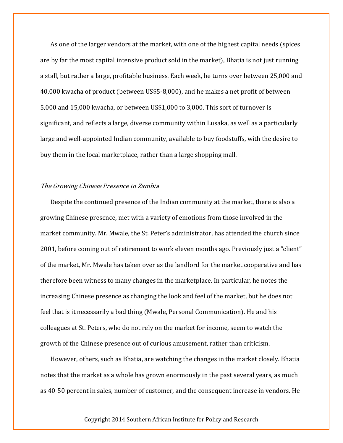As one of the larger vendors at the market, with one of the highest capital needs (spices are by far the most capital intensive product sold in the market), Bhatia is not just running a stall, but rather a large, profitable business. Each week, he turns over between 25,000 and 40,000 kwacha of product (between US\$5-8,000), and he makes a net profit of between 5,000 and 15,000 kwacha, or between US\$1,000 to 3,000. This sort of turnover is significant, and reflects a large, diverse community within Lusaka, as well as a particularly large and well-appointed Indian community, available to buy foodstuffs, with the desire to buy them in the local marketplace, rather than a large shopping mall.

#### The Growing Chinese Presence in Zambia

Despite the continued presence of the Indian community at the market, there is also a growing Chinese presence, met with a variety of emotions from those involved in the market community. Mr. Mwale, the St. Peter's administrator, has attended the church since 2001, before coming out of retirement to work eleven months ago. Previously just a "client" of the market, Mr. Mwale has taken over as the landlord for the market cooperative and has therefore been witness to many changes in the marketplace. In particular, he notes the increasing Chinese presence as changing the look and feel of the market, but he does not feel that is it necessarily a bad thing (Mwale, Personal Communication). He and his colleagues at St. Peters, who do not rely on the market for income, seem to watch the growth of the Chinese presence out of curious amusement, rather than criticism.

However, others, such as Bhatia, are watching the changes in the market closely. Bhatia notes that the market as a whole has grown enormously in the past several years, as much as 40-50 percent in sales, number of customer, and the consequent increase in vendors. He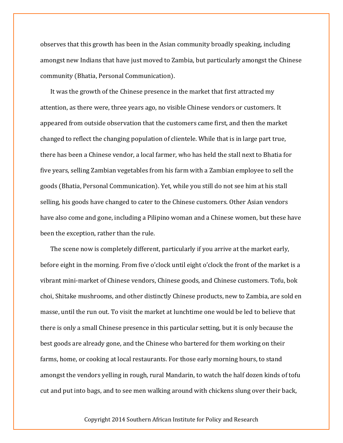observes that this growth has been in the Asian community broadly speaking, including amongst new Indians that have just moved to Zambia, but particularly amongst the Chinese community (Bhatia, Personal Communication).

It was the growth of the Chinese presence in the market that first attracted my attention, as there were, three years ago, no visible Chinese vendors or customers. It appeared from outside observation that the customers came first, and then the market changed to reflect the changing population of clientele. While that is in large part true, there has been a Chinese vendor, a local farmer, who has held the stall next to Bhatia for five years, selling Zambian vegetables from his farm with a Zambian employee to sell the goods (Bhatia, Personal Communication). Yet, while you still do not see him at his stall selling, his goods have changed to cater to the Chinese customers. Other Asian vendors have also come and gone, including a Pilipino woman and a Chinese women, but these have been the exception, rather than the rule.

The scene now is completely different, particularly if you arrive at the market early, before eight in the morning. From five o'clock until eight o'clock the front of the market is a vibrant mini-market of Chinese vendors, Chinese goods, and Chinese customers. Tofu, bok choi, Shitake mushrooms, and other distinctly Chinese products, new to Zambia, are sold en masse, until the run out. To visit the market at lunchtime one would be led to believe that there is only a small Chinese presence in this particular setting, but it is only because the best goods are already gone, and the Chinese who bartered for them working on their farms, home, or cooking at local restaurants. For those early morning hours, to stand amongst the vendors yelling in rough, rural Mandarin, to watch the half dozen kinds of tofu cut and put into bags, and to see men walking around with chickens slung over their back,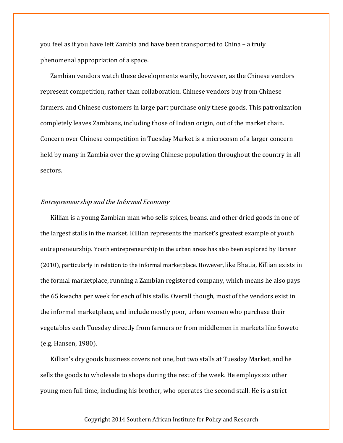you feel as if you have left Zambia and have been transported to China – a truly phenomenal appropriation of a space.

Zambian vendors watch these developments warily, however, as the Chinese vendors represent competition, rather than collaboration. Chinese vendors buy from Chinese farmers, and Chinese customers in large part purchase only these goods. This patronization completely leaves Zambians, including those of Indian origin, out of the market chain. Concern over Chinese competition in Tuesday Market is a microcosm of a larger concern held by many in Zambia over the growing Chinese population throughout the country in all sectors.

#### Entrepreneurship and the Informal Economy

Killian is a young Zambian man who sells spices, beans, and other dried goods in one of the largest stalls in the market. Killian represents the market's greatest example of youth entrepreneurship. Youth entrepreneurship in the urban areas has also been explored by Hansen (2010), particularly in relation to the informal marketplace. However, like Bhatia, Killian exists in the formal marketplace, running a Zambian registered company, which means he also pays the 65 kwacha per week for each of his stalls. Overall though, most of the vendors exist in the informal marketplace, and include mostly poor, urban women who purchase their vegetables each Tuesday directly from farmers or from middlemen in markets like Soweto (e.g. Hansen, 1980).

Killian's dry goods business covers not one, but two stalls at Tuesday Market, and he sells the goods to wholesale to shops during the rest of the week. He employs six other young men full time, including his brother, who operates the second stall. He is a strict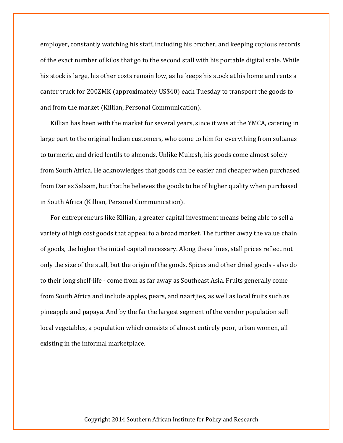employer, constantly watching his staff, including his brother, and keeping copious records of the exact number of kilos that go to the second stall with his portable digital scale. While his stock is large, his other costs remain low, as he keeps his stock at his home and rents a canter truck for 200ZMK (approximately US\$40) each Tuesday to transport the goods to and from the market (Killian, Personal Communication).

Killian has been with the market for several years, since it was at the YMCA, catering in large part to the original Indian customers, who come to him for everything from sultanas to turmeric, and dried lentils to almonds. Unlike Mukesh, his goods come almost solely from South Africa. He acknowledges that goods can be easier and cheaper when purchased from Dar es Salaam, but that he believes the goods to be of higher quality when purchased in South Africa (Killian, Personal Communication).

For entrepreneurs like Killian, a greater capital investment means being able to sell a variety of high cost goods that appeal to a broad market. The further away the value chain of goods, the higher the initial capital necessary. Along these lines, stall prices reflect not only the size of the stall, but the origin of the goods. Spices and other dried goods - also do to their long shelf-life - come from as far away as Southeast Asia. Fruits generally come from South Africa and include apples, pears, and naartjies, as well as local fruits such as pineapple and papaya. And by the far the largest segment of the vendor population sell local vegetables, a population which consists of almost entirely poor, urban women, all existing in the informal marketplace.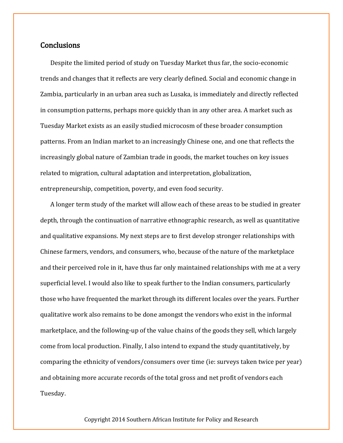# **Conclusions**

Despite the limited period of study on Tuesday Market thus far, the socio-economic trends and changes that it reflects are very clearly defined. Social and economic change in Zambia, particularly in an urban area such as Lusaka, is immediately and directly reflected in consumption patterns, perhaps more quickly than in any other area. A market such as Tuesday Market exists as an easily studied microcosm of these broader consumption patterns. From an Indian market to an increasingly Chinese one, and one that reflects the increasingly global nature of Zambian trade in goods, the market touches on key issues related to migration, cultural adaptation and interpretation, globalization, entrepreneurship, competition, poverty, and even food security.

A longer term study of the market will allow each of these areas to be studied in greater depth, through the continuation of narrative ethnographic research, as well as quantitative and qualitative expansions. My next steps are to first develop stronger relationships with Chinese farmers, vendors, and consumers, who, because of the nature of the marketplace and their perceived role in it, have thus far only maintained relationships with me at a very superficial level. I would also like to speak further to the Indian consumers, particularly those who have frequented the market through its different locales over the years. Further qualitative work also remains to be done amongst the vendors who exist in the informal marketplace, and the following-up of the value chains of the goods they sell, which largely come from local production. Finally, I also intend to expand the study quantitatively, by comparing the ethnicity of vendors/consumers over time (ie: surveys taken twice per year) and obtaining more accurate records of the total gross and net profit of vendors each Tuesday.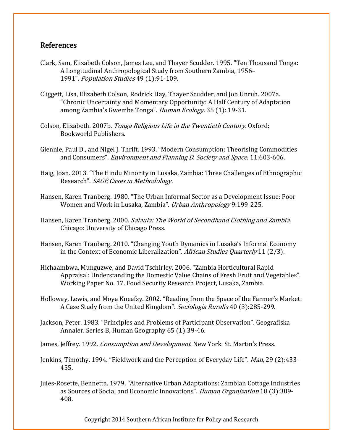# References

- Clark, Sam, Elizabeth Colson, James Lee, and Thayer Scudder. 1995. "Ten Thousand Tonga: A Longitudinal Anthropological Study from Southern Zambia, 1956– 1991". Population Studies 49 (1):91-109.
- Cliggett, Lisa, Elizabeth Colson, Rodrick Hay, Thayer Scudder, and Jon Unruh. 2007a. "Chronic Uncertainty and Momentary Opportunity: A Half Century of Adaptation among Zambia's Gwembe Tonga". Human Ecology. 35 (1): 19-31.
- Colson, Elizabeth. 2007b. Tonga Religious Life in the Twentieth Century. Oxford: Bookworld Publishers.
- Glennie, Paul D., and Nigel J. Thrift. 1993. "Modern Consumption: Theorising Commodities and Consumers". Environment and Planning D. Society and Space. 11:603-606.
- Haig, Joan. 2013. "The Hindu Minority in Lusaka, Zambia: Three Challenges of Ethnographic Research". SAGE Cases in Methodology.
- Hansen, Karen Tranberg. 1980. "The Urban Informal Sector as a Development Issue: Poor Women and Work in Lusaka, Zambia". Urban Anthropology 9:199-225.
- Hansen, Karen Tranberg. 2000. Salaula: The World of Secondhand Clothing and Zambia. Chicago: University of Chicago Press.
- Hansen, Karen Tranberg. 2010. "Changing Youth Dynamics in Lusaka's Informal Economy in the Context of Economic Liberalization". African Studies Quarterly 11 (2/3).
- Hichaambwa, Munguzwe, and David Tschirley. 2006. "Zambia Horticultural Rapid Appraisal: Understanding the Domestic Value Chains of Fresh Fruit and Vegetables". Working Paper No. 17. Food Security Research Project, Lusaka, Zambia.
- Holloway, Lewis, and Moya Kneafsy. 2002. "Reading from the Space of the Farmer's Market: A Case Study from the United Kingdom". Sociologia Ruralis 40 (3):285-299.
- Jackson, Peter. 1983. "Principles and Problems of Participant Observation". Geografiska Annaler. Series B, Human Geography 65 (1):39-46.
- James, Jeffrey. 1992. *Consumption and Development*. New York: St. Martin's Press.
- Jenkins, Timothy. 1994. "Fieldwork and the Perception of Everyday Life". Man, 29 (2):433-455.
- Jules-Rosette, Bennetta. 1979. "Alternative Urban Adaptations: Zambian Cottage Industries as Sources of Social and Economic Innovations". Human Organization 18 (3):389- 408.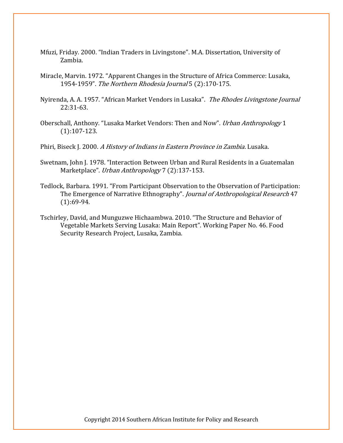- Mfuzi, Friday. 2000. "Indian Traders in Livingstone". M.A. Dissertation, University of Zambia.
- Miracle, Marvin. 1972. "Apparent Changes in the Structure of Africa Commerce: Lusaka, 1954-1959". The Northern Rhodesia Journal 5 (2):170-175.
- Nyirenda, A. A. 1957. "African Market Vendors in Lusaka". The Rhodes Livingstone Journal 22:31-63.
- Oberschall, Anthony. "Lusaka Market Vendors: Then and Now". Urban Anthropology 1 (1):107-123.

Phiri, Biseck J. 2000. A History of Indians in Eastern Province in Zambia. Lusaka.

- Swetnam, John J. 1978. "Interaction Between Urban and Rural Residents in a Guatemalan Marketplace". Urban Anthropology 7 (2):137-153.
- Tedlock, Barbara. 1991. "From Participant Observation to the Observation of Participation: The Emergence of Narrative Ethnography". Journal of Anthropological Research 47 (1):69-94.
- Tschirley, David, and Munguzwe Hichaambwa. 2010. "The Structure and Behavior of Vegetable Markets Serving Lusaka: Main Report". Working Paper No. 46. Food Security Research Project, Lusaka, Zambia.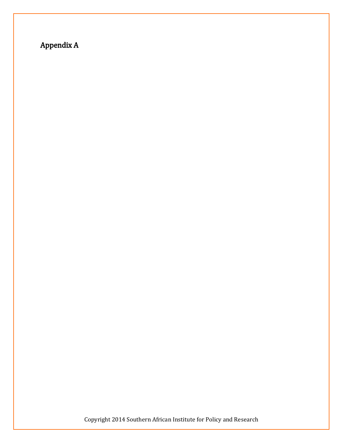# Appendix A